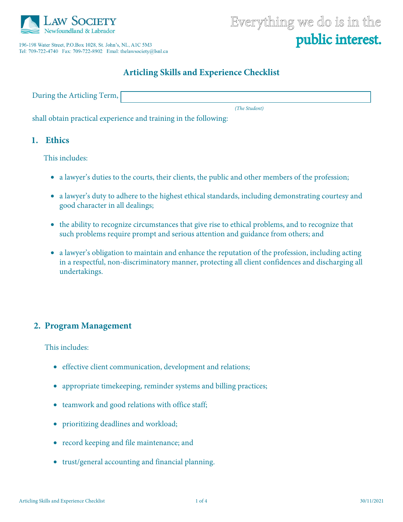

196-198 Water Street, P.O.Box 1028, St. John's, NL, A1C 5M3 

# Everything we do is in the public interest.

# **Articling Skills and Experience Checklist**

| During the Articling Term, |               |
|----------------------------|---------------|
|                            | (The Student) |

shall obtain practical experience and training in the following:

#### **1. Ethics**

This includes:

- a lawyer's duties to the courts, their clients, the public and other members of the profession;
- a lawyer's duty to adhere to the highest ethical standards, including demonstrating courtesy and good character in all dealings;
- the ability to recognize circumstances that give rise to ethical problems, and to recognize that such problems require prompt and serious attention and guidance from others; and
- a lawyer's obligation to maintain and enhance the reputation of the profession, including acting in a respectful, non-discriminatory manner, protecting all client confidences and discharging all undertakings.

## **2. Program Management**

This includes:

- effective client communication, development and relations;
- appropriate timekeeping, reminder systems and billing practices;
- teamwork and good relations with office staff;
- prioritizing deadlines and workload;
- record keeping and file maintenance; and
- trust/general accounting and financial planning.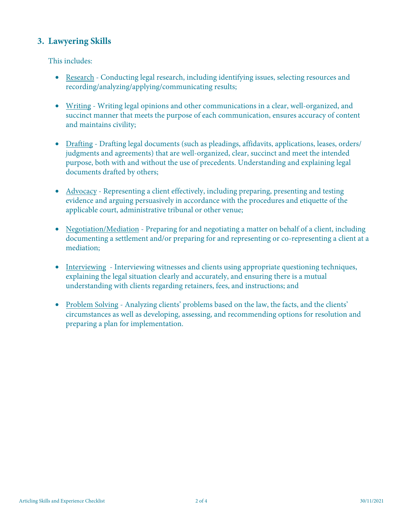## **3. Lawyering Skills**

This includes:

- Research Conducting legal research, including identifying issues, selecting resources and recording/analyzing/applying/communicating results;
- Writing Writing legal opinions and other communications in a clear, well-organized, and succinct manner that meets the purpose of each communication, ensures accuracy of content and maintains civility;
- Drafting Drafting legal documents (such as pleadings, affidavits, applications, leases, orders/ judgments and agreements) that are well-organized, clear, succinct and meet the intended purpose, both with and without the use of precedents. Understanding and explaining legal documents drafted by others;
- Advocacy Representing a client effectively, including preparing, presenting and testing evidence and arguing persuasively in accordance with the procedures and etiquette of the applicable court, administrative tribunal or other venue;
- Negotiation/Mediation Preparing for and negotiating a matter on behalf of a client, including documenting a settlement and/or preparing for and representing or co-representing a client at a mediation;
- Interviewing Interviewing witnesses and clients using appropriate questioning techniques, explaining the legal situation clearly and accurately, and ensuring there is a mutual understanding with clients regarding retainers, fees, and instructions; and
- Problem Solving Analyzing clients' problems based on the law, the facts, and the clients' circumstances as well as developing, assessing, and recommending options for resolution and preparing a plan for implementation.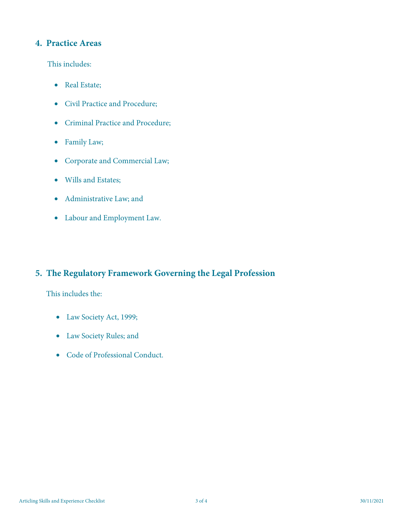#### **4. Practice Areas**

This includes:

- Real Estate;
- Civil Practice and Procedure;
- Criminal Practice and Procedure;
- Family Law;
- Corporate and Commercial Law;
- Wills and Estates;
- Administrative Law; and
- Labour and Employment Law.

## **5. The Regulatory Framework Governing the Legal Profession**

This includes the:

- Law Society Act, 1999;
- Law Society Rules; and
- Code of Professional Conduct.